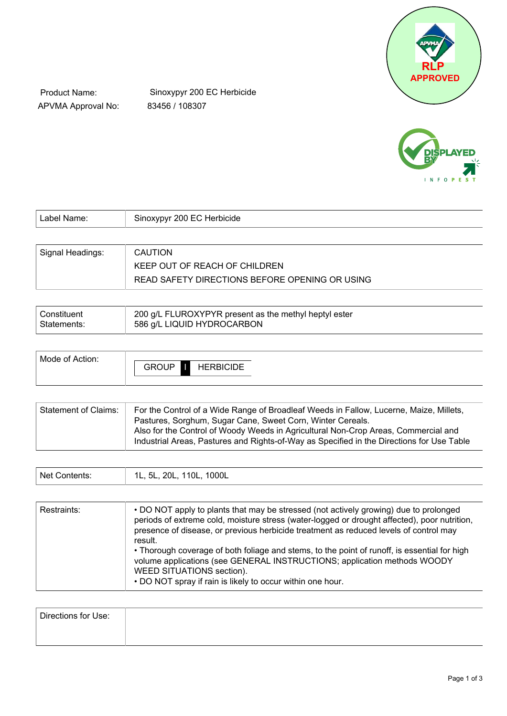

Product Name: APVMA Approval No:

Sinoxypyr 200 EC Herbicide 83456 / 108307



| Label Name:      | Sinoxypyr 200 EC Herbicide                     |
|------------------|------------------------------------------------|
|                  |                                                |
| Signal Headings: | <b>CAUTION</b>                                 |
|                  | KEEP OUT OF REACH OF CHILDREN                  |
|                  | READ SAFETY DIRECTIONS BEFORE OPENING OR USING |

| Constituent | 200 g/L FLUROXYPYR present as the methyl heptyl ester |
|-------------|-------------------------------------------------------|
| Statements: | 586 g/L LIQUID HYDROCARBON                            |
|             |                                                       |

| Mode of Action: |                   |                  |
|-----------------|-------------------|------------------|
|                 | <b>GROUP</b><br>Ш | <b>HERBICIDE</b> |
|                 |                   |                  |

| Statement of Claims: | For the Control of a Wide Range of Broadleaf Weeds in Fallow, Lucerne, Maize, Millets,<br>Pastures, Sorghum, Sugar Cane, Sweet Corn, Winter Cereals.                            |
|----------------------|---------------------------------------------------------------------------------------------------------------------------------------------------------------------------------|
|                      | Also for the Control of Woody Weeds in Agricultural Non-Crop Areas, Commercial and<br>Industrial Areas, Pastures and Rights-of-Way as Specified in the Directions for Use Table |

| 1000L<br>Net (<br>110L,<br>וחכ<br>`ontents:<br>. .<br>י<br>.<br>$-\circ$ . |  |  |
|----------------------------------------------------------------------------|--|--|
|----------------------------------------------------------------------------|--|--|

| Restraints: | • DO NOT apply to plants that may be stressed (not actively growing) due to prolonged<br>periods of extreme cold, moisture stress (water-logged or drought affected), poor nutrition,<br>presence of disease, or previous herbicide treatment as reduced levels of control may<br>result.<br>• Thorough coverage of both foliage and stems, to the point of runoff, is essential for high<br>volume applications (see GENERAL INSTRUCTIONS; application methods WOODY<br>WEED SITUATIONS section).<br>. DO NOT spray if rain is likely to occur within one hour. |
|-------------|------------------------------------------------------------------------------------------------------------------------------------------------------------------------------------------------------------------------------------------------------------------------------------------------------------------------------------------------------------------------------------------------------------------------------------------------------------------------------------------------------------------------------------------------------------------|
|-------------|------------------------------------------------------------------------------------------------------------------------------------------------------------------------------------------------------------------------------------------------------------------------------------------------------------------------------------------------------------------------------------------------------------------------------------------------------------------------------------------------------------------------------------------------------------------|

| Directions for Use: |  |  |
|---------------------|--|--|
|                     |  |  |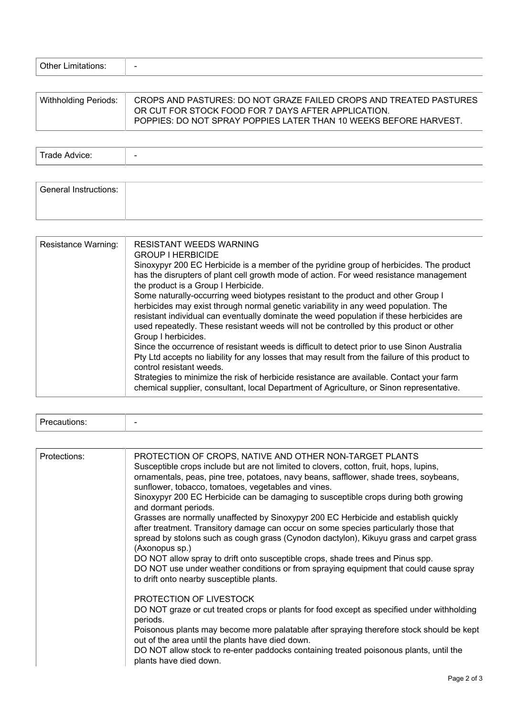| <b>Other Limitations:</b> | $\overline{\phantom{a}}$ |  |  |  |
|---------------------------|--------------------------|--|--|--|
|---------------------------|--------------------------|--|--|--|

| Withholding Periods: | CROPS AND PASTURES: DO NOT GRAZE FAILED CROPS AND TREATED PASTURES<br>OR CUT FOR STOCK FOOD FOR 7 DAYS AFTER APPLICATION. |
|----------------------|---------------------------------------------------------------------------------------------------------------------------|
|                      | POPPIES: DO NOT SPRAY POPPIES LATER THAN 10 WEEKS BEFORE HARVEST.                                                         |

Trade Advice:  $\vert$  -

| <b>General Instructions:</b> |  |
|------------------------------|--|
|                              |  |

| Resistance Warning: | <b>RESISTANT WEEDS WARNING</b><br><b>GROUP I HERBICIDE</b><br>Sinoxypyr 200 EC Herbicide is a member of the pyridine group of herbicides. The product<br>has the disrupters of plant cell growth mode of action. For weed resistance management<br>the product is a Group I Herbicide.<br>Some naturally-occurring weed biotypes resistant to the product and other Group I<br>herbicides may exist through normal genetic variability in any weed population. The<br>resistant individual can eventually dominate the weed population if these herbicides are<br>used repeatedly. These resistant weeds will not be controlled by this product or other<br>Group I herbicides.<br>Since the occurrence of resistant weeds is difficult to detect prior to use Sinon Australia<br>Pty Ltd accepts no liability for any losses that may result from the failure of this product to<br>control resistant weeds.<br>Strategies to minimize the risk of herbicide resistance are available. Contact your farm<br>chemical supplier, consultant, local Department of Agriculture, or Sinon representative. |
|---------------------|-------------------------------------------------------------------------------------------------------------------------------------------------------------------------------------------------------------------------------------------------------------------------------------------------------------------------------------------------------------------------------------------------------------------------------------------------------------------------------------------------------------------------------------------------------------------------------------------------------------------------------------------------------------------------------------------------------------------------------------------------------------------------------------------------------------------------------------------------------------------------------------------------------------------------------------------------------------------------------------------------------------------------------------------------------------------------------------------------------|

| Protections: | PROTECTION OF CROPS, NATIVE AND OTHER NON-TARGET PLANTS<br>Susceptible crops include but are not limited to clovers, cotton, fruit, hops, lupins,<br>ornamentals, peas, pine tree, potatoes, navy beans, safflower, shade trees, soybeans,<br>sunflower, tobacco, tomatoes, vegetables and vines. |
|--------------|---------------------------------------------------------------------------------------------------------------------------------------------------------------------------------------------------------------------------------------------------------------------------------------------------|
|              | Sinoxypyr 200 EC Herbicide can be damaging to susceptible crops during both growing<br>and dormant periods.                                                                                                                                                                                       |
|              | Grasses are normally unaffected by Sinoxypyr 200 EC Herbicide and establish quickly<br>after treatment. Transitory damage can occur on some species particularly those that<br>spread by stolons such as cough grass (Cynodon dactylon), Kikuyu grass and carpet grass<br>(Axonopus sp.)          |
|              | DO NOT allow spray to drift onto susceptible crops, shade trees and Pinus spp.<br>DO NOT use under weather conditions or from spraying equipment that could cause spray<br>to drift onto nearby susceptible plants.                                                                               |
|              | PROTECTION OF LIVESTOCK                                                                                                                                                                                                                                                                           |
|              | DO NOT graze or cut treated crops or plants for food except as specified under withholding<br>periods.                                                                                                                                                                                            |
|              | Poisonous plants may become more palatable after spraying therefore stock should be kept<br>out of the area until the plants have died down.                                                                                                                                                      |
|              | DO NOT allow stock to re-enter paddocks containing treated poisonous plants, until the<br>plants have died down.                                                                                                                                                                                  |
|              |                                                                                                                                                                                                                                                                                                   |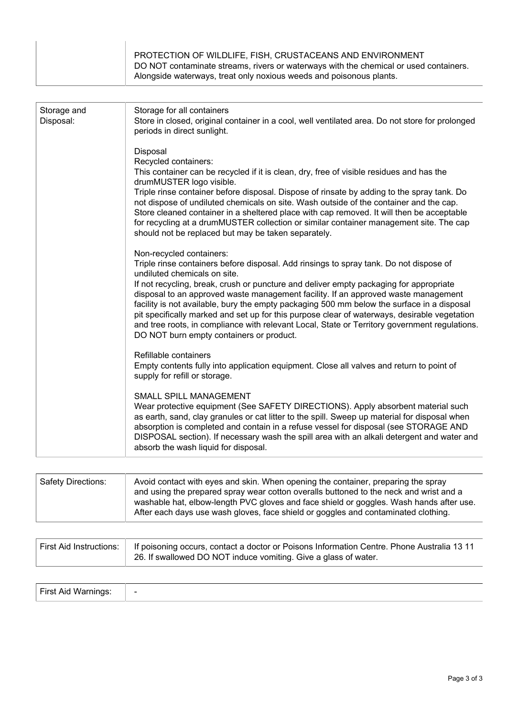| PROTECTION OF WILDLIFE, FISH, CRUSTACEANS AND ENVIRONMENT<br>DO NOT contaminate streams, rivers or waterways with the chemical or used containers. |
|----------------------------------------------------------------------------------------------------------------------------------------------------|
| Alongside waterways, treat only noxious weeds and poisonous plants.                                                                                |

| Storage and<br>Disposal: | Storage for all containers<br>Store in closed, original container in a cool, well ventilated area. Do not store for prolonged<br>periods in direct sunlight.                                                                                                                                                                                                                                                                                                                                                                                                                                                                                                                  |
|--------------------------|-------------------------------------------------------------------------------------------------------------------------------------------------------------------------------------------------------------------------------------------------------------------------------------------------------------------------------------------------------------------------------------------------------------------------------------------------------------------------------------------------------------------------------------------------------------------------------------------------------------------------------------------------------------------------------|
|                          | Disposal<br>Recycled containers:<br>This container can be recycled if it is clean, dry, free of visible residues and has the<br>drumMUSTER logo visible.<br>Triple rinse container before disposal. Dispose of rinsate by adding to the spray tank. Do<br>not dispose of undiluted chemicals on site. Wash outside of the container and the cap.<br>Store cleaned container in a sheltered place with cap removed. It will then be acceptable<br>for recycling at a drumMUSTER collection or similar container management site. The cap<br>should not be replaced but may be taken separately.                                                                                |
|                          | Non-recycled containers:<br>Triple rinse containers before disposal. Add rinsings to spray tank. Do not dispose of<br>undiluted chemicals on site.<br>If not recycling, break, crush or puncture and deliver empty packaging for appropriate<br>disposal to an approved waste management facility. If an approved waste management<br>facility is not available, bury the empty packaging 500 mm below the surface in a disposal<br>pit specifically marked and set up for this purpose clear of waterways, desirable vegetation<br>and tree roots, in compliance with relevant Local, State or Territory government regulations.<br>DO NOT burn empty containers or product. |
|                          | Refillable containers<br>Empty contents fully into application equipment. Close all valves and return to point of<br>supply for refill or storage.                                                                                                                                                                                                                                                                                                                                                                                                                                                                                                                            |
|                          | SMALL SPILL MANAGEMENT<br>Wear protective equipment (See SAFETY DIRECTIONS). Apply absorbent material such<br>as earth, sand, clay granules or cat litter to the spill. Sweep up material for disposal when<br>absorption is completed and contain in a refuse vessel for disposal (see STORAGE AND<br>DISPOSAL section). If necessary wash the spill area with an alkali detergent and water and<br>absorb the wash liquid for disposal.                                                                                                                                                                                                                                     |
|                          |                                                                                                                                                                                                                                                                                                                                                                                                                                                                                                                                                                                                                                                                               |

| <b>Safety Directions:</b> | Avoid contact with eyes and skin. When opening the container, preparing the spray       |
|---------------------------|-----------------------------------------------------------------------------------------|
|                           | and using the prepared spray wear cotton overalls buttoned to the neck and wrist and a  |
|                           | washable hat, elbow-length PVC gloves and face shield or goggles. Wash hands after use. |
|                           | After each days use wash gloves, face shield or goggles and contaminated clothing.      |

| First Aid Instructions:   If poisoning occurs, contact a doctor or Poisons Information Centre. Phone Australia 13 11 |
|----------------------------------------------------------------------------------------------------------------------|
| 26. If swallowed DO NOT induce vomiting. Give a glass of water.                                                      |

| <b>First Aid Warnings:</b> |  |
|----------------------------|--|
|----------------------------|--|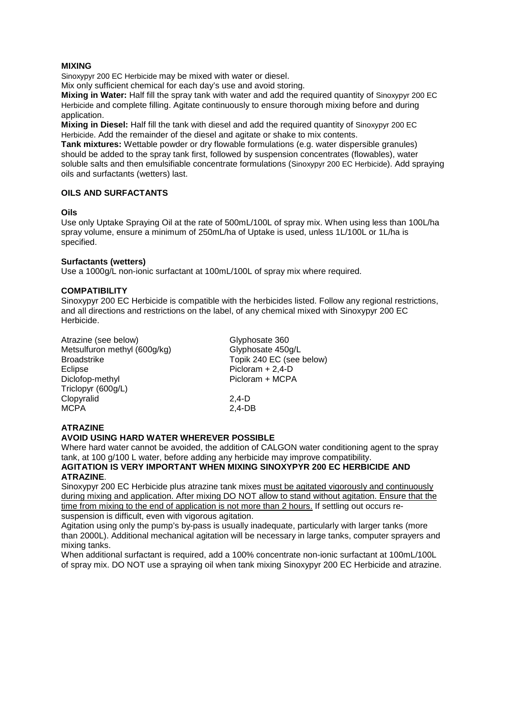### **MIXING**

Sinoxypyr 200 EC Herbicide may be mixed with water or diesel.

Mix only sufficient chemical for each day's use and avoid storing.

**Mixing in Water:** Half fill the spray tank with water and add the required quantity of Sinoxypyr 200 EC Herbicide and complete filling. Agitate continuously to ensure thorough mixing before and during application.

**Mixing in Diesel:** Half fill the tank with diesel and add the required quantity of Sinoxypyr 200 EC Herbicide. Add the remainder of the diesel and agitate or shake to mix contents.

**Tank mixtures:** Wettable powder or dry flowable formulations (e.g. water dispersible granules) should be added to the spray tank first, followed by suspension concentrates (flowables), water soluble salts and then emulsifiable concentrate formulations (Sinoxypyr 200 EC Herbicide). Add spraying oils and surfactants (wetters) last.

#### **OILS AND SURFACTANTS**

#### **Oils**

Use only Uptake Spraying Oil at the rate of 500mL/100L of spray mix. When using less than 100L/ha spray volume, ensure a minimum of 250mL/ha of Uptake is used, unless 1L/100L or 1L/ha is specified.

#### **Surfactants (wetters)**

Use a 1000g/L non-ionic surfactant at 100mL/100L of spray mix where required.

#### **COMPATIBILITY**

Sinoxypyr 200 EC Herbicide is compatible with the herbicides listed. Follow any regional restrictions, and all directions and restrictions on the label, of any chemical mixed with Sinoxypyr 200 EC Herbicide.

Atrazine (see below) Glyphosate 360<br>
Metsulfuron methyl (600g/kg) Glyphosate 450g/L Metsulfuron methyl (600g/kg)<br>Broadstrike Broadstrike Topik 240 EC (see below)<br>Eclipse Figure 2.4-D Eclipse Picloram + 2,4-D<br>Diclofop-methyl Picloram + MCP/ Picloram + MCPA Triclopyr (600g/L) Clopyralid 2,4-D<br>MCPA 2.4-DB MCPA 2,4-DB

## **ATRAZINE**

#### **AVOID USING HARD WATER WHEREVER POSSIBLE**

Where hard water cannot be avoided, the addition of CALGON water conditioning agent to the spray tank, at 100 g/100 L water, before adding any herbicide may improve compatibility.

# **AGITATION IS VERY IMPORTANT WHEN MIXING SINOXYPYR 200 EC HERBICIDE AND ATRAZINE**.

Sinoxypyr 200 EC Herbicide plus atrazine tank mixes must be agitated vigorously and continuously during mixing and application. After mixing DO NOT allow to stand without agitation. Ensure that the time from mixing to the end of application is not more than 2 hours. If settling out occurs resuspension is difficult, even with vigorous agitation.

Agitation using only the pump's by-pass is usually inadequate, particularly with larger tanks (more than 2000L). Additional mechanical agitation will be necessary in large tanks, computer sprayers and mixing tanks.

When additional surfactant is required, add a 100% concentrate non-ionic surfactant at 100mL/100L of spray mix. DO NOT use a spraying oil when tank mixing Sinoxypyr 200 EC Herbicide and atrazine.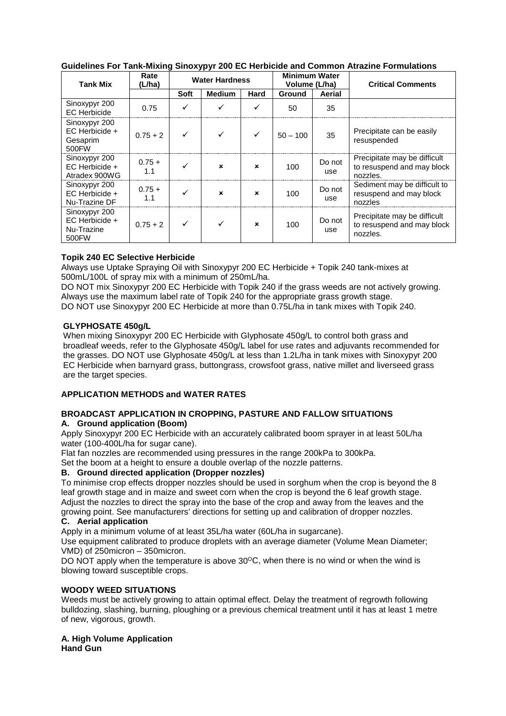| <b>Tank Mix</b>                                            | Rate<br>(L/ha)  | <b>Water Hardness</b> |               | <b>Minimum Water</b><br>Volume (L/ha) |               | <b>Critical Comments</b> |                                                                        |
|------------------------------------------------------------|-----------------|-----------------------|---------------|---------------------------------------|---------------|--------------------------|------------------------------------------------------------------------|
|                                                            |                 | Soft                  | <b>Medium</b> | Hard                                  | <b>Ground</b> | Aerial                   |                                                                        |
| Sinoxypyr 200<br><b>EC</b> Herbicide                       | 0.75            | ✓                     |               |                                       | 50            | 35                       |                                                                        |
| Sinoxypyr 200<br>EC Herbicide +<br>Gesaprim<br>500 FW      | $0.75 + 2$      |                       |               |                                       | $50 - 100$    | 35                       | Precipitate can be easily<br>resuspended                               |
| Sinoxypyr 200<br>$FC$ Herbicide $+$<br>Atradex 900WG       | $0.75 +$<br>1.1 |                       | ×             | $\mathbf x$                           | 100           | Do not<br>use            | Precipitate may be difficult<br>to resuspend and may block<br>nozzles. |
| Sinoxypyr 200<br>EC Herbicide +<br>Nu-Trazine DF           | $0.75 +$<br>1.1 |                       | ×             | ×                                     | 100           | Do not<br>use            | Sediment may be difficult to<br>resuspend and may block<br>nozzles     |
| Sinoxypyr 200<br>$EC$ Herbicide $+$<br>Nu-Trazine<br>500FW | $0.75 + 2$      |                       |               | $\mathbf x$                           | 100           | Do not<br>use            | Precipitate may be difficult<br>to resuspend and may block<br>nozzles. |

# **Guidelines For Tank-Mixing Sinoxypyr 200 EC Herbicide and Common Atrazine Formulations**

# **Topik 240 EC Selective Herbicide**

Always use Uptake Spraying Oil with Sinoxypyr 200 EC Herbicide + Topik 240 tank-mixes at 500mL/100L of spray mix with a minimum of 250mL/ha.

DO NOT mix Sinoxypyr 200 EC Herbicide with Topik 240 if the grass weeds are not actively growing. Always use the maximum label rate of Topik 240 for the appropriate grass growth stage. DO NOT use Sinoxypyr 200 EC Herbicide at more than 0.75L/ha in tank mixes with Topik 240.

## **GLYPHOSATE 450g/L**

When mixing Sinoxypyr 200 EC Herbicide with Glyphosate 450g/L to control both grass and broadleaf weeds, refer to the Glyphosate 450g/L label for use rates and adjuvants recommended for the grasses. DO NOT use Glyphosate 450g/L at less than 1.2L/ha in tank mixes with Sinoxypyr 200 EC Herbicide when barnyard grass, buttongrass, crowsfoot grass, native millet and liverseed grass are the target species.

# **APPLICATION METHODS and WATER RATES**

#### **BROADCAST APPLICATION IN CROPPING, PASTURE AND FALLOW SITUATIONS A. Ground application (Boom)**

Apply Sinoxypyr 200 EC Herbicide with an accurately calibrated boom sprayer in at least 50L/ha water (100-400L/ha for sugar cane).

Flat fan nozzles are recommended using pressures in the range 200kPa to 300kPa.

Set the boom at a height to ensure a double overlap of the nozzle patterns.

# **B. Ground directed application (Dropper nozzles)**

To minimise crop effects dropper nozzles should be used in sorghum when the crop is beyond the 8 leaf growth stage and in maize and sweet corn when the crop is beyond the 6 leaf growth stage. Adjust the nozzles to direct the spray into the base of the crop and away from the leaves and the growing point. See manufacturers' directions for setting up and calibration of dropper nozzles. **C. Aerial application** 

Apply in a minimum volume of at least 35L/ha water (60L/ha in sugarcane).

Use equipment calibrated to produce droplets with an average diameter (Volume Mean Diameter; VMD) of 250micron – 350micron.

DO NOT apply when the temperature is above  $30^{\circ}$ C, when there is no wind or when the wind is blowing toward susceptible crops.

# **WOODY WEED SITUATIONS**

Weeds must be actively growing to attain optimal effect. Delay the treatment of regrowth following bulldozing, slashing, burning, ploughing or a previous chemical treatment until it has at least 1 metre of new, vigorous, growth.

**A. High Volume Application Hand Gun**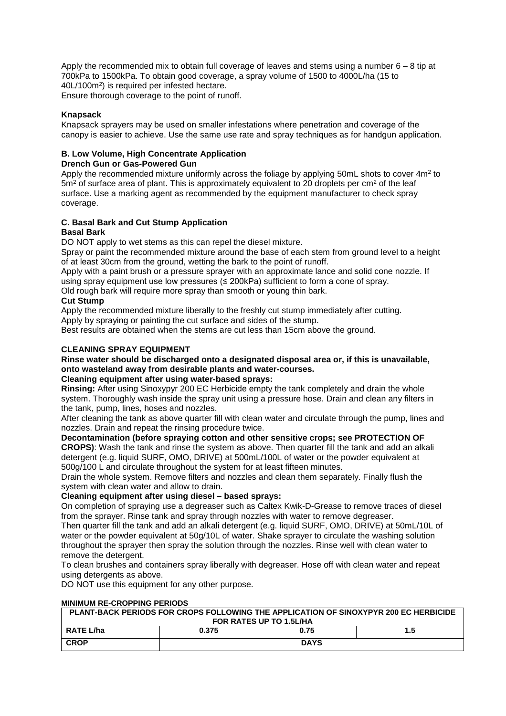Apply the recommended mix to obtain full coverage of leaves and stems using a number 6 – 8 tip at 700kPa to 1500kPa. To obtain good coverage, a spray volume of 1500 to 4000L/ha (15 to 40L/100m2) is required per infested hectare. Ensure thorough coverage to the point of runoff.

### **Knapsack**

Knapsack sprayers may be used on smaller infestations where penetration and coverage of the canopy is easier to achieve. Use the same use rate and spray techniques as for handgun application.

## **B. Low Volume, High Concentrate Application**

#### **Drench Gun or Gas-Powered Gun**

Apply the recommended mixture uniformly across the foliage by applying 50mL shots to cover 4m<sup>2</sup> to  $5m<sup>2</sup>$  of surface area of plant. This is approximately equivalent to 20 droplets per cm<sup>2</sup> of the leaf surface. Use a marking agent as recommended by the equipment manufacturer to check spray coverage.

#### **C. Basal Bark and Cut Stump Application Basal Bark**

DO NOT apply to wet stems as this can repel the diesel mixture.

Spray or paint the recommended mixture around the base of each stem from ground level to a height of at least 30cm from the ground, wetting the bark to the point of runoff.

Apply with a paint brush or a pressure sprayer with an approximate lance and solid cone nozzle. If using spray equipment use low pressures  $(\leq 200 \text{ kPa})$  sufficient to form a cone of spray.

Old rough bark will require more spray than smooth or young thin bark.

# **Cut Stump**

Apply the recommended mixture liberally to the freshly cut stump immediately after cutting. Apply by spraying or painting the cut surface and sides of the stump.

Best results are obtained when the stems are cut less than 15cm above the ground.

# **CLEANING SPRAY EQUIPMENT**

# **Rinse water should be discharged onto a designated disposal area or, if this is unavailable, onto wasteland away from desirable plants and water-courses.**

# **Cleaning equipment after using water-based sprays:**

**Rinsing:** After using Sinoxypyr 200 EC Herbicide empty the tank completely and drain the whole system. Thoroughly wash inside the spray unit using a pressure hose. Drain and clean any filters in the tank, pump, lines, hoses and nozzles.

After cleaning the tank as above quarter fill with clean water and circulate through the pump, lines and nozzles. Drain and repeat the rinsing procedure twice.

#### **Decontamination (before spraying cotton and other sensitive crops; see PROTECTION OF CROPS)**: Wash the tank and rinse the system as above. Then quarter fill the tank and add an alkali detergent (e.g. liquid SURF, OMO, DRIVE) at 500mL/100L of water or the powder equivalent at 500g/100 L and circulate throughout the system for at least fifteen minutes.

Drain the whole system. Remove filters and nozzles and clean them separately. Finally flush the system with clean water and allow to drain.

## **Cleaning equipment after using diesel – based sprays:**

On completion of spraying use a degreaser such as Caltex Kwik-D-Grease to remove traces of diesel from the sprayer. Rinse tank and spray through nozzles with water to remove degreaser.

Then quarter fill the tank and add an alkali detergent (e.g. liquid SURF, OMO, DRIVE) at 50mL/10L of water or the powder equivalent at 50g/10L of water. Shake sprayer to circulate the washing solution throughout the sprayer then spray the solution through the nozzles. Rinse well with clean water to remove the detergent.

To clean brushes and containers spray liberally with degreaser. Hose off with clean water and repeat using detergents as above.

DO NOT use this equipment for any other purpose.

### **MINIMUM RE-CROPPING PERIODS**

| PLANT-BACK PERIODS FOR CROPS FOLLOWING THE APPLICATION OF SINOXYPYR 200 EC HERBICIDE |             |      |     |  |  |
|--------------------------------------------------------------------------------------|-------------|------|-----|--|--|
| FOR RATES UP TO 1.5L/HA                                                              |             |      |     |  |  |
| RATE L/ha                                                                            | 0.375       | 0.75 | 1.5 |  |  |
| <b>CROP</b>                                                                          | <b>DAYS</b> |      |     |  |  |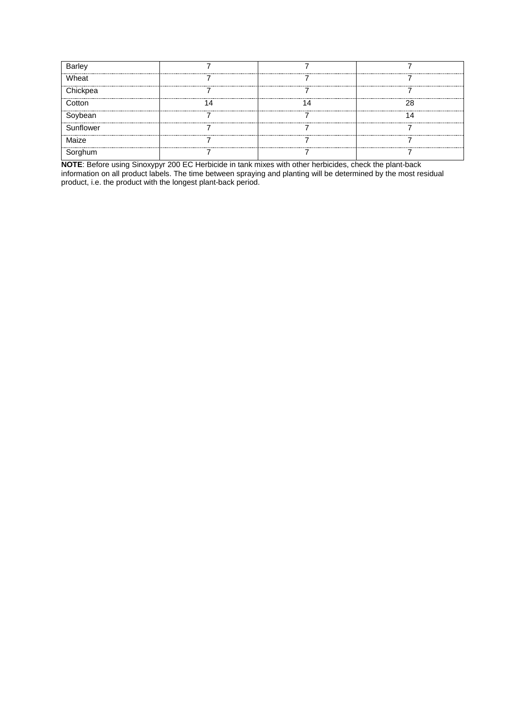| Barley    |                                          |  |
|-----------|------------------------------------------|--|
| Wheat     |                                          |  |
| Chickpea  |                                          |  |
| Cotton    |                                          |  |
| Soybean   |                                          |  |
| Sunflower | <br><br><br>---------------------------- |  |
| Maize     |                                          |  |
|           |                                          |  |

**NOTE**: Before using Sinoxypyr 200 EC Herbicide in tank mixes with other herbicides, check the plant-back information on all product labels. The time between spraying and planting will be determined by the most residual product, i.e. the product with the longest plant-back period.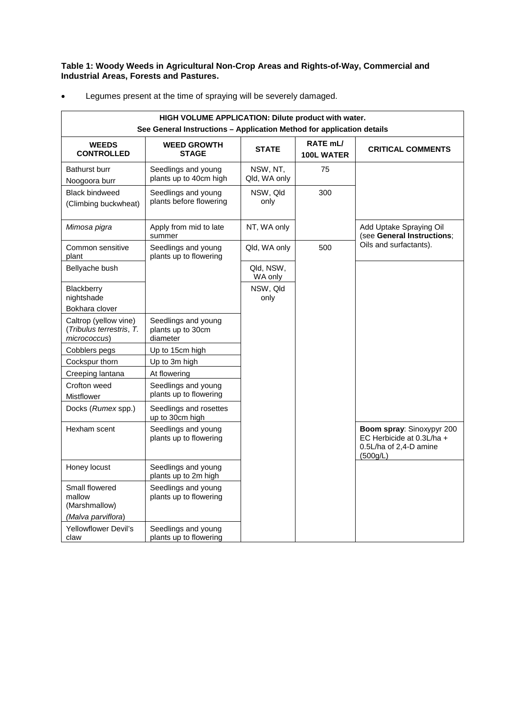**Table 1: Woody Weeds in Agricultural Non-Crop Areas and Rights-of-Way, Commercial and Industrial Areas, Forests and Pastures.**

| HIGH VOLUME APPLICATION: Dilute product with water.                   |                                                      |                          |                                           |                                                                                              |  |  |
|-----------------------------------------------------------------------|------------------------------------------------------|--------------------------|-------------------------------------------|----------------------------------------------------------------------------------------------|--|--|
| See General Instructions - Application Method for application details |                                                      |                          |                                           |                                                                                              |  |  |
| <b>WEEDS</b><br><b>CONTROLLED</b>                                     | <b>WEED GROWTH</b><br><b>STAGE</b>                   | <b>STATE</b>             | RATE <sub>mL</sub> /<br><b>100L WATER</b> | <b>CRITICAL COMMENTS</b>                                                                     |  |  |
| <b>Bathurst burr</b><br>Noogoora burr                                 | Seedlings and young<br>plants up to 40cm high        | NSW, NT,<br>Qld, WA only | 75                                        |                                                                                              |  |  |
| <b>Black bindweed</b><br>(Climbing buckwheat)                         | Seedlings and young<br>plants before flowering       | NSW, Qld<br>only         | 300                                       |                                                                                              |  |  |
| Mimosa pigra                                                          | Apply from mid to late<br>summer                     | NT, WA only              |                                           | Add Uptake Spraying Oil<br>(see General Instructions;                                        |  |  |
| Common sensitive<br>plant                                             | Seedlings and young<br>plants up to flowering        | Qld, WA only             | 500                                       | Oils and surfactants).                                                                       |  |  |
| Bellyache bush                                                        |                                                      | Qld, NSW,<br>WA only     |                                           |                                                                                              |  |  |
| <b>Blackberry</b><br>nightshade                                       |                                                      | NSW, Qld<br>only         |                                           |                                                                                              |  |  |
| Bokhara clover                                                        |                                                      |                          |                                           |                                                                                              |  |  |
| Caltrop (yellow vine)<br>(Tribulus terrestris, T.<br>micrococcus)     | Seedlings and young<br>plants up to 30cm<br>diameter |                          |                                           |                                                                                              |  |  |
| Cobblers pegs                                                         | Up to 15cm high                                      |                          |                                           |                                                                                              |  |  |
| Cockspur thorn                                                        | Up to 3m high                                        |                          |                                           |                                                                                              |  |  |
| Creeping lantana                                                      | At flowering                                         |                          |                                           |                                                                                              |  |  |
| Crofton weed<br>Mistflower                                            | Seedlings and young<br>plants up to flowering        |                          |                                           |                                                                                              |  |  |
| Docks (Rumex spp.)                                                    | Seedlings and rosettes<br>up to 30cm high            |                          |                                           |                                                                                              |  |  |
| Hexham scent                                                          | Seedlings and young<br>plants up to flowering        |                          |                                           | Boom spray: Sinoxypyr 200<br>EC Herbicide at 0.3L/ha +<br>0.5L/ha of 2,4-D amine<br>(500g/L) |  |  |
| Honey locust                                                          | Seedlings and young<br>plants up to 2m high          |                          |                                           |                                                                                              |  |  |
| Small flowered<br>mallow<br>(Marshmallow)                             | Seedlings and young<br>plants up to flowering        |                          |                                           |                                                                                              |  |  |
| (Malva parviflora)<br>Yellowflower Devil's                            |                                                      |                          |                                           |                                                                                              |  |  |
| claw                                                                  | Seedlings and young<br>plants up to flowering        |                          |                                           |                                                                                              |  |  |

• Legumes present at the time of spraying will be severely damaged.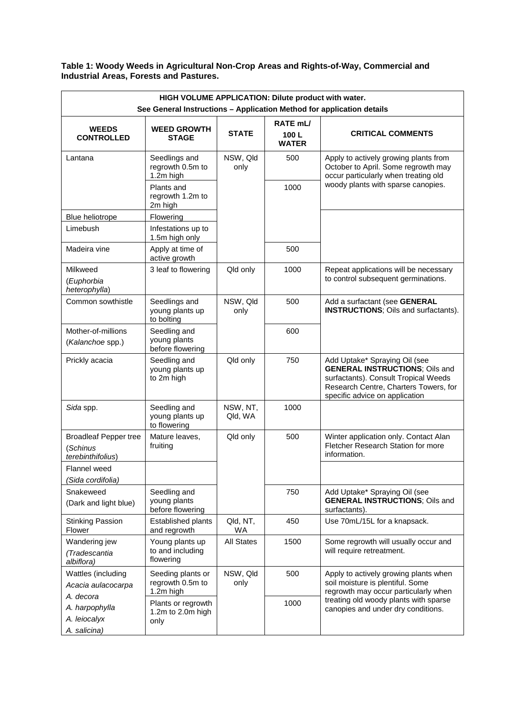**Table 1: Woody Weeds in Agricultural Non-Crop Areas and Rights-of-Way, Commercial and Industrial Areas, Forests and Pastures.**

| HIGH VOLUME APPLICATION: Dilute product with water.<br>See General Instructions - Application Method for application details |                                                    |                     |                                  |                                                                                                                                                                                           |  |  |
|------------------------------------------------------------------------------------------------------------------------------|----------------------------------------------------|---------------------|----------------------------------|-------------------------------------------------------------------------------------------------------------------------------------------------------------------------------------------|--|--|
| <b>WEEDS</b><br><b>CONTROLLED</b>                                                                                            | <b>WEED GROWTH</b><br><b>STAGE</b>                 | <b>STATE</b>        | RATE mL/<br>100L<br><b>WATER</b> | <b>CRITICAL COMMENTS</b>                                                                                                                                                                  |  |  |
| Lantana                                                                                                                      | Seedlings and<br>regrowth 0.5m to<br>1.2m high     | NSW, Qld<br>only    | 500                              | Apply to actively growing plants from<br>October to April. Some regrowth may<br>occur particularly when treating old                                                                      |  |  |
|                                                                                                                              | Plants and<br>regrowth 1.2m to<br>2m high          |                     | 1000                             | woody plants with sparse canopies.                                                                                                                                                        |  |  |
| Blue heliotrope                                                                                                              | Flowering                                          |                     |                                  |                                                                                                                                                                                           |  |  |
| Limebush                                                                                                                     | Infestations up to<br>1.5m high only               |                     |                                  |                                                                                                                                                                                           |  |  |
| Madeira vine                                                                                                                 | Apply at time of<br>active growth                  |                     | 500                              |                                                                                                                                                                                           |  |  |
| Milkweed<br>(Euphorbia<br>heterophylla)                                                                                      | 3 leaf to flowering                                | Qld only            | 1000                             | Repeat applications will be necessary<br>to control subsequent germinations.                                                                                                              |  |  |
| Common sowthistle                                                                                                            | Seedlings and<br>young plants up<br>to bolting     | NSW, Qld<br>only    | 500                              | Add a surfactant (see GENERAL<br><b>INSTRUCTIONS; Oils and surfactants).</b>                                                                                                              |  |  |
| Mother-of-millions<br>(Kalanchoe spp.)                                                                                       | Seedling and<br>young plants<br>before flowering   |                     | 600                              |                                                                                                                                                                                           |  |  |
| Prickly acacia                                                                                                               | Seedling and<br>young plants up<br>to 2m high      | Qld only            | 750                              | Add Uptake* Spraying Oil (see<br><b>GENERAL INSTRUCTIONS; Oils and</b><br>surfactants). Consult Tropical Weeds<br>Research Centre, Charters Towers, for<br>specific advice on application |  |  |
| Sida spp.                                                                                                                    | Seedling and<br>young plants up<br>to flowering    | NSW, NT,<br>Qld, WA | 1000                             |                                                                                                                                                                                           |  |  |
| <b>Broadleaf Pepper tree</b><br>(Schinus<br>terebinthifolius)                                                                | Mature leaves,<br>fruiting                         | Qld only            | 500                              | Winter application only. Contact Alan<br>Fletcher Research Station for more<br>information.                                                                                               |  |  |
| Flannel weed<br>(Sida cordifolia)                                                                                            |                                                    |                     |                                  |                                                                                                                                                                                           |  |  |
| Snakeweed<br>(Dark and light blue)                                                                                           | Seedling and<br>young plants<br>before flowering   |                     | 750                              | Add Uptake* Spraying Oil (see<br><b>GENERAL INSTRUCTIONS; Oils and</b><br>surfactants).                                                                                                   |  |  |
| <b>Stinking Passion</b><br>Flower                                                                                            | Established plants<br>and regrowth                 | Qld, NT,<br>WA      | 450                              | Use 70mL/15L for a knapsack.                                                                                                                                                              |  |  |
| Wandering jew<br>(Tradescantia<br>albiflora)                                                                                 | Young plants up<br>to and including<br>flowering   | <b>All States</b>   | 1500                             | Some regrowth will usually occur and<br>will require retreatment.                                                                                                                         |  |  |
| Wattles (including<br>Acacia aulacocarpa<br>A. decora                                                                        | Seeding plants or<br>regrowth 0.5m to<br>1.2m high | NSW, Qld<br>only    | 500                              | Apply to actively growing plants when<br>soil moisture is plentiful. Some<br>regrowth may occur particularly when                                                                         |  |  |
| A. harpophylla<br>A. leiocalyx<br>A. salicina)                                                                               | Plants or regrowth<br>1.2m to 2.0m high<br>only    |                     | 1000                             | treating old woody plants with sparse<br>canopies and under dry conditions.                                                                                                               |  |  |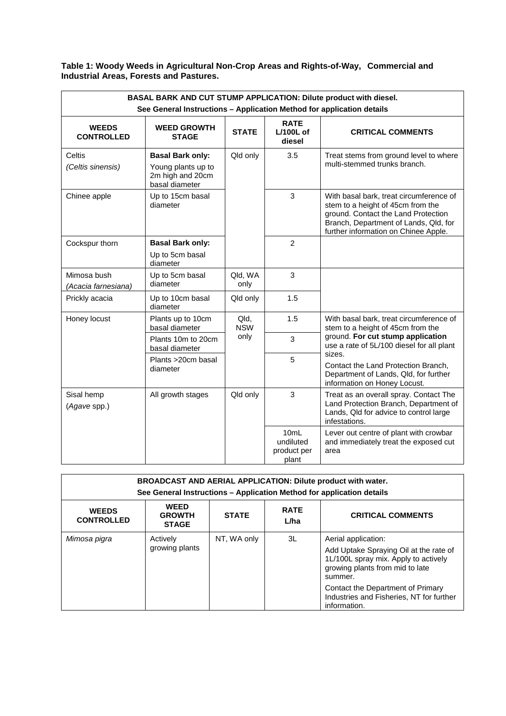# **Table 1: Woody Weeds in Agricultural Non-Crop Areas and Rights-of-Way, Commercial and Industrial Areas, Forests and Pastures.**

| BASAL BARK AND CUT STUMP APPLICATION: Dilute product with diesel.<br>See General Instructions - Application Method for application details |                                                                                     |                    |                                           |                                                                                                                                                                                                      |  |  |
|--------------------------------------------------------------------------------------------------------------------------------------------|-------------------------------------------------------------------------------------|--------------------|-------------------------------------------|------------------------------------------------------------------------------------------------------------------------------------------------------------------------------------------------------|--|--|
| <b>WEEDS</b><br><b>CONTROLLED</b>                                                                                                          | <b>WEED GROWTH</b><br><b>STAGE</b>                                                  | <b>STATE</b>       | <b>RATE</b><br>$L/100L$ of<br>diesel      | <b>CRITICAL COMMENTS</b>                                                                                                                                                                             |  |  |
| Celtis<br>(Celtis sinensis)                                                                                                                | <b>Basal Bark only:</b><br>Young plants up to<br>2m high and 20cm<br>basal diameter | Qld only           | 3.5                                       | Treat stems from ground level to where<br>multi-stemmed trunks branch.                                                                                                                               |  |  |
| Chinee apple                                                                                                                               | Up to 15cm basal<br>diameter                                                        |                    | 3                                         | With basal bark, treat circumference of<br>stem to a height of 45cm from the<br>ground. Contact the Land Protection<br>Branch, Department of Lands, Qld, for<br>further information on Chinee Apple. |  |  |
| Cockspur thorn                                                                                                                             | <b>Basal Bark only:</b><br>Up to 5cm basal<br>diameter                              |                    | $\overline{2}$                            |                                                                                                                                                                                                      |  |  |
| Mimosa bush<br>(Acacia farnesiana)                                                                                                         | Up to 5cm basal<br>diameter                                                         | Qld, WA<br>only    | 3                                         |                                                                                                                                                                                                      |  |  |
| Prickly acacia                                                                                                                             | Up to 10cm basal<br>diameter                                                        | Qld only           | 1.5                                       |                                                                                                                                                                                                      |  |  |
| Honey locust                                                                                                                               | Plants up to 10cm<br>basal diameter                                                 | Qld,<br><b>NSW</b> | 1.5                                       | With basal bark, treat circumference of<br>stem to a height of 45cm from the                                                                                                                         |  |  |
|                                                                                                                                            | Plants 10m to 20cm<br>basal diameter                                                | only               | 3                                         | ground. For cut stump application<br>use a rate of 5L/100 diesel for all plant<br>sizes.                                                                                                             |  |  |
|                                                                                                                                            | Plants >20cm basal<br>diameter                                                      |                    | 5                                         | Contact the Land Protection Branch,<br>Department of Lands, Qld, for further<br>information on Honey Locust.                                                                                         |  |  |
| Sisal hemp<br>(Agave spp.)                                                                                                                 | All growth stages                                                                   | Qld only           | 3                                         | Treat as an overall spray. Contact The<br>Land Protection Branch, Department of<br>Lands, Qld for advice to control large<br>infestations.                                                           |  |  |
|                                                                                                                                            |                                                                                     |                    | 10mL<br>undiluted<br>product per<br>plant | Lever out centre of plant with crowbar<br>and immediately treat the exposed cut<br>area                                                                                                              |  |  |

| <b>BROADCAST AND AERIAL APPLICATION: Dilute product with water.</b><br>See General Instructions - Application Method for application details |                                              |              |                     |                                                                                                                                                                                                                                      |  |  |
|----------------------------------------------------------------------------------------------------------------------------------------------|----------------------------------------------|--------------|---------------------|--------------------------------------------------------------------------------------------------------------------------------------------------------------------------------------------------------------------------------------|--|--|
| <b>WEEDS</b><br><b>CONTROLLED</b>                                                                                                            | <b>WEED</b><br><b>GROWTH</b><br><b>STAGE</b> | <b>STATE</b> | <b>RATE</b><br>L/ha | <b>CRITICAL COMMENTS</b>                                                                                                                                                                                                             |  |  |
| Mimosa pigra                                                                                                                                 | Actively<br>growing plants                   | NT, WA only  | 3L                  | Aerial application:<br>Add Uptake Spraying Oil at the rate of<br>1L/100L spray mix. Apply to actively<br>growing plants from mid to late<br>summer.<br>Contact the Department of Primary<br>Industries and Fisheries, NT for further |  |  |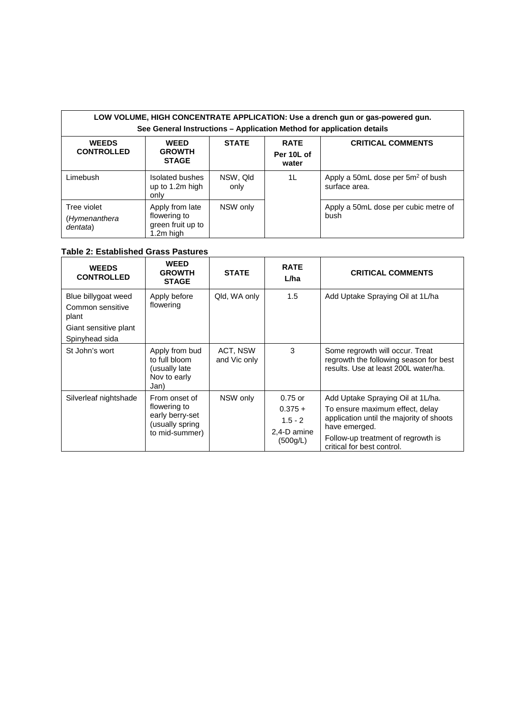#### **LOW VOLUME, HIGH CONCENTRATE APPLICATION: Use a drench gun or gas-powered gun. See General Instructions – Application Method for application details WEEDS CONTROLLED WEED GROWTH STAGE STATE RATE Per 10L of water CRITICAL COMMENTS** Limebush Isolated bushes up to 1.2m high <u>only</u> NSW, Qld only 1L  $\vert$  Apply a 50mL dose per 5m<sup>2</sup> of bush surface area. Tree violet (*Hymenanthera dentata*) Apply from late flowering to green fruit up to NSW only  $\vert$  Apply a 50mL dose per cubic metre of bush

# **Table 2: Established Grass Pastures**

1.2m high

| <b>WEEDS</b><br><b>CONTROLLED</b>                                                           | <b>WEED</b><br><b>GROWTH</b><br><b>STAGE</b>                                          | <b>STATE</b>             | <b>RATE</b><br>L/ha                                            | <b>CRITICAL COMMENTS</b>                                                                                                                                                                              |
|---------------------------------------------------------------------------------------------|---------------------------------------------------------------------------------------|--------------------------|----------------------------------------------------------------|-------------------------------------------------------------------------------------------------------------------------------------------------------------------------------------------------------|
| Blue billygoat weed<br>Common sensitive<br>plant<br>Giant sensitive plant<br>Spinyhead sida | Apply before<br>flowering                                                             | Qld, WA only             | 1.5                                                            | Add Uptake Spraying Oil at 1L/ha                                                                                                                                                                      |
| St John's wort                                                                              | Apply from bud<br>to full bloom<br>(usually late<br>Nov to early<br>Jan)              | ACT, NSW<br>and Vic only | 3                                                              | Some regrowth will occur. Treat<br>regrowth the following season for best<br>results. Use at least 200L water/ha.                                                                                     |
| Silverleaf nightshade                                                                       | From onset of<br>flowering to<br>early berry-set<br>(usually spring<br>to mid-summer) | NSW only                 | $0.75$ or<br>$0.375 +$<br>$1.5 - 2$<br>2.4-D amine<br>(500g/L) | Add Uptake Spraying Oil at 1L/ha.<br>To ensure maximum effect, delay<br>application until the majority of shoots<br>have emerged.<br>Follow-up treatment of regrowth is<br>critical for best control. |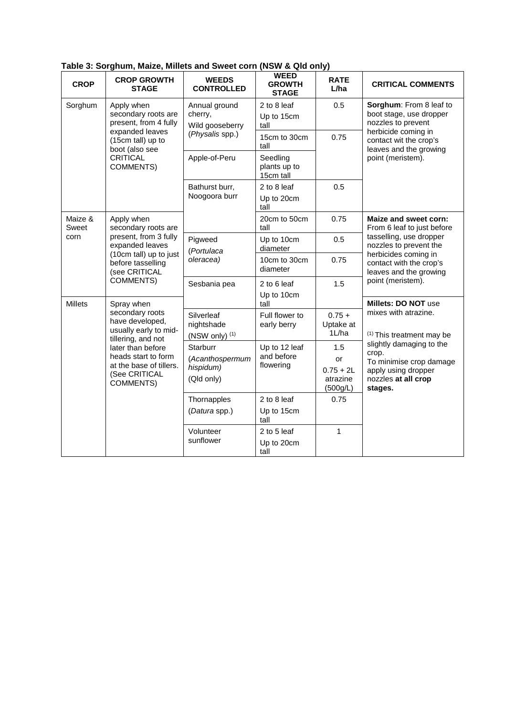| <b>CROP</b>      | <b>CROP GROWTH</b><br><b>STAGE</b>                                                                                                                                                            | <b>WEEDS</b><br><b>CONTROLLED</b>                                                                               | <b>WEED</b><br><b>GROWTH</b><br><b>STAGE</b>                 | <b>RATE</b><br>L/ha                              | <b>CRITICAL COMMENTS</b>                                                                                              |
|------------------|-----------------------------------------------------------------------------------------------------------------------------------------------------------------------------------------------|-----------------------------------------------------------------------------------------------------------------|--------------------------------------------------------------|--------------------------------------------------|-----------------------------------------------------------------------------------------------------------------------|
| Sorghum          | Apply when<br>secondary roots are<br>present, from 4 fully                                                                                                                                    | Annual ground<br>cherry,<br>Wild gooseberry                                                                     | 2 to 8 leaf<br>Up to 15cm<br>tall                            | 0.5                                              | Sorghum: From 8 leaf to<br>boot stage, use dropper<br>nozzles to prevent                                              |
|                  | expanded leaves<br>(15cm tall) up to<br>boot (also see                                                                                                                                        | (Physalis spp.)                                                                                                 | 15cm to 30cm<br>tall                                         | 0.75                                             | herbicide coming in<br>contact wit the crop's<br>leaves and the growing                                               |
|                  | CRITICAL<br><b>COMMENTS)</b>                                                                                                                                                                  | Apple-of-Peru                                                                                                   | Seedling<br>plants up to<br>15cm tall                        |                                                  | point (meristem).                                                                                                     |
|                  |                                                                                                                                                                                               | Bathurst burr,<br>Noogoora burr                                                                                 | 2 to 8 leaf<br>Up to 20cm<br>tall                            | 0.5                                              |                                                                                                                       |
| Maize &<br>Sweet | Apply when<br>secondary roots are                                                                                                                                                             |                                                                                                                 | 20cm to 50cm<br>tall                                         | 0.75                                             | Maize and sweet corn:<br>From 6 leaf to just before                                                                   |
| corn             | present, from 3 fully<br>expanded leaves<br>(10cm tall) up to just<br>before tasselling<br>(see CRITICAL<br><b>COMMENTS)</b>                                                                  | Pigweed<br>(Portulaca                                                                                           | Up to 10cm<br>diameter                                       | 0.5                                              | tasselling, use dropper<br>nozzles to prevent the                                                                     |
|                  |                                                                                                                                                                                               | oleracea)                                                                                                       | 10cm to 30cm<br>diameter                                     | 0.75                                             | herbicides coming in<br>contact with the crop's<br>leaves and the growing                                             |
|                  |                                                                                                                                                                                               | Sesbania pea                                                                                                    | 2 to 6 leaf<br>Up to 10cm                                    | 1.5                                              | point (meristem).                                                                                                     |
| <b>Millets</b>   | Spray when                                                                                                                                                                                    |                                                                                                                 | tall                                                         |                                                  | Millets: DO NOT use                                                                                                   |
|                  | secondary roots<br>have developed,<br>usually early to mid-<br>tillering, and not<br>later than before<br>heads start to form<br>at the base of tillers.<br>(See CRITICAL<br><b>COMMENTS)</b> | Silverleaf<br>Full flower to<br>$0.75 +$<br>nightshade<br>Uptake at<br>early berry<br>1L/ha<br>(NSW only) $(1)$ | mixes with atrazine.<br><sup>(1)</sup> This treatment may be |                                                  |                                                                                                                       |
|                  |                                                                                                                                                                                               | Starburr<br>(Acanthospermum<br>hispidum)<br>(Qld only)                                                          | Up to 12 leaf<br>and before<br>flowering                     | 1.5<br>or<br>$0.75 + 2L$<br>atrazine<br>(500g/L) | slightly damaging to the<br>crop.<br>To minimise crop damage<br>apply using dropper<br>nozzles at all crop<br>stages. |
|                  |                                                                                                                                                                                               | Thornapples<br>(Datura spp.)                                                                                    | 2 to 8 leaf<br>Up to 15cm                                    | 0.75                                             |                                                                                                                       |
|                  |                                                                                                                                                                                               |                                                                                                                 | tall                                                         |                                                  |                                                                                                                       |
|                  |                                                                                                                                                                                               | Volunteer<br>sunflower                                                                                          | 2 to 5 leaf                                                  | 1                                                |                                                                                                                       |
|                  |                                                                                                                                                                                               |                                                                                                                 | Up to 20cm<br>tall                                           |                                                  |                                                                                                                       |

**Table 3: Sorghum, Maize, Millets and Sweet corn (NSW & Qld only)**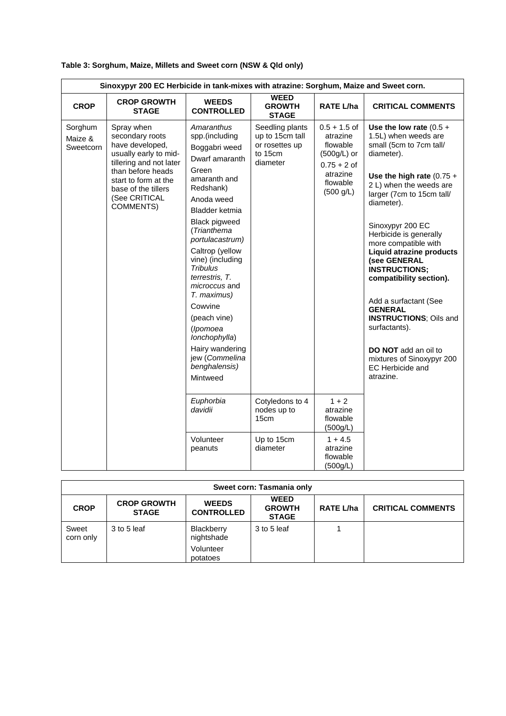| Sinoxypyr 200 EC Herbicide in tank-mixes with atrazine: Sorghum, Maize and Sweet corn. |                                                                                                                                                                                                        |                                                                                                                                                                                                                                                                                                                                                                                                                                       |                                                                             |                                                                                                               |                                                                                                                                                                                                                                                                                                                                                                                                                                                                                                                                                                       |  |
|----------------------------------------------------------------------------------------|--------------------------------------------------------------------------------------------------------------------------------------------------------------------------------------------------------|---------------------------------------------------------------------------------------------------------------------------------------------------------------------------------------------------------------------------------------------------------------------------------------------------------------------------------------------------------------------------------------------------------------------------------------|-----------------------------------------------------------------------------|---------------------------------------------------------------------------------------------------------------|-----------------------------------------------------------------------------------------------------------------------------------------------------------------------------------------------------------------------------------------------------------------------------------------------------------------------------------------------------------------------------------------------------------------------------------------------------------------------------------------------------------------------------------------------------------------------|--|
| <b>CROP</b>                                                                            | <b>CROP GROWTH</b><br><b>STAGE</b>                                                                                                                                                                     | <b>WEEDS</b><br><b>CONTROLLED</b>                                                                                                                                                                                                                                                                                                                                                                                                     | <b>WEED</b><br><b>GROWTH</b><br><b>STAGE</b>                                | <b>RATE L/ha</b>                                                                                              | <b>CRITICAL COMMENTS</b>                                                                                                                                                                                                                                                                                                                                                                                                                                                                                                                                              |  |
| Sorghum<br>Maize &<br>Sweetcorn                                                        | Spray when<br>secondary roots<br>have developed,<br>usually early to mid-<br>tillering and not later<br>than before heads<br>start to form at the<br>base of the tillers<br>(See CRITICAL<br>COMMENTS) | Amaranthus<br>spp.(including<br>Boggabri weed<br>Dwarf amaranth<br>Green<br>amaranth and<br>Redshank)<br>Anoda weed<br>Bladder ketmia<br><b>Black pigweed</b><br>(Trianthema<br>portulacastrum)<br>Caltrop (yellow<br>vine) (including<br><b>Tribulus</b><br>terrestris, T.<br>microccus and<br>T. maximus)<br>Cowvine<br>(peach vine)<br>(Ipomoea<br>lonchophylla)<br>Hairy wandering<br>jew (Commelina<br>benghalensis)<br>Mintweed | Seedling plants<br>up to 15cm tall<br>or rosettes up<br>to 15cm<br>diameter | $0.5 + 1.5$ of<br>atrazine<br>flowable<br>$(500g/L)$ or<br>$0.75 + 2$ of<br>atrazine<br>flowable<br>(500 g/L) | Use the low rate $(0.5 +$<br>1.5L) when weeds are<br>small (5cm to 7cm tall/<br>diameter).<br>Use the high rate $(0.75 +$<br>2 L) when the weeds are<br>larger (7cm to 15cm tall/<br>diameter).<br>Sinoxypyr 200 EC<br>Herbicide is generally<br>more compatible with<br><b>Liquid atrazine products</b><br>(see GENERAL<br><b>INSTRUCTIONS:</b><br>compatibility section).<br>Add a surfactant (See<br><b>GENERAL</b><br><b>INSTRUCTIONS; Oils and</b><br>surfactants).<br><b>DO NOT</b> add an oil to<br>mixtures of Sinoxypyr 200<br>EC Herbicide and<br>atrazine. |  |
|                                                                                        |                                                                                                                                                                                                        | Euphorbia<br>davidii                                                                                                                                                                                                                                                                                                                                                                                                                  | Cotyledons to 4<br>nodes up to<br>15cm                                      | $1 + 2$<br>atrazine<br>flowable<br>(500g/L)                                                                   |                                                                                                                                                                                                                                                                                                                                                                                                                                                                                                                                                                       |  |
|                                                                                        |                                                                                                                                                                                                        | Volunteer<br>peanuts                                                                                                                                                                                                                                                                                                                                                                                                                  | Up to 15cm<br>diameter                                                      | $1 + 4.5$<br>atrazine<br>flowable<br>(500g/L)                                                                 |                                                                                                                                                                                                                                                                                                                                                                                                                                                                                                                                                                       |  |

| Table 3: Sorghum, Maize, Millets and Sweet corn (NSW & Qld only) |  |  |
|------------------------------------------------------------------|--|--|

| Sweet corn: Tasmania only |                                    |                                   |                                              |                  |                          |  |
|---------------------------|------------------------------------|-----------------------------------|----------------------------------------------|------------------|--------------------------|--|
| <b>CROP</b>               | <b>CROP GROWTH</b><br><b>STAGE</b> | <b>WEEDS</b><br><b>CONTROLLED</b> | <b>WEED</b><br><b>GROWTH</b><br><b>STAGE</b> | <b>RATE L/ha</b> | <b>CRITICAL COMMENTS</b> |  |
| Sweet<br>corn only        | 3 to 5 leaf                        | Blackberry<br>nightshade          | 3 to 5 leaf                                  |                  |                          |  |
|                           |                                    | Volunteer<br>potatoes             |                                              |                  |                          |  |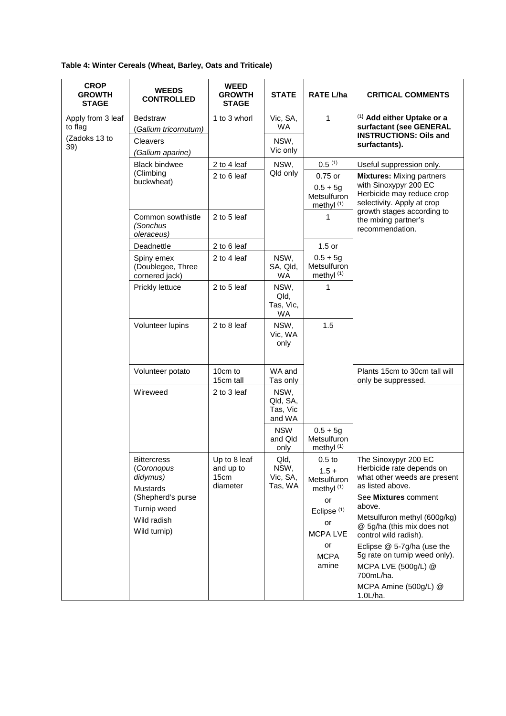# **Table 4: Winter Cereals (Wheat, Barley, Oats and Triticale)**

| <b>CROP</b><br><b>GROWTH</b><br><b>STAGE</b>         | <b>WEEDS</b><br><b>CONTROLLED</b>                                                                                                  | <b>WEED</b><br><b>GROWTH</b><br><b>STAGE</b>  | <b>STATE</b>                              | <b>RATE L/ha</b>                                                                                                                | <b>CRITICAL COMMENTS</b>                                                                                                                                                                                                                                                                      |
|------------------------------------------------------|------------------------------------------------------------------------------------------------------------------------------------|-----------------------------------------------|-------------------------------------------|---------------------------------------------------------------------------------------------------------------------------------|-----------------------------------------------------------------------------------------------------------------------------------------------------------------------------------------------------------------------------------------------------------------------------------------------|
| Apply from 3 leaf<br>to flag<br>(Zadoks 13 to<br>39) | <b>Bedstraw</b><br>(Galium tricornutum)<br>Cleavers                                                                                | 1 to 3 whorl                                  | Vic, SA,<br><b>WA</b><br>NSW,<br>Vic only | $\mathbf{1}$                                                                                                                    | (1) Add either Uptake or a<br>surfactant (see GENERAL<br><b>INSTRUCTIONS: Oils and</b><br>surfactants).                                                                                                                                                                                       |
|                                                      | (Galium aparine)<br><b>Black bindwee</b>                                                                                           | 2 to 4 leaf                                   | NSW,                                      | 0.5(1)                                                                                                                          |                                                                                                                                                                                                                                                                                               |
|                                                      | (Climbing                                                                                                                          | 2 to 6 leaf                                   | Qld only                                  | 0.75 or                                                                                                                         | Useful suppression only.<br><b>Mixtures:</b> Mixing partners                                                                                                                                                                                                                                  |
|                                                      | buckwheat)                                                                                                                         |                                               |                                           | $0.5 + 5g$<br>Metsulfuron<br>methyl <sup>(1)</sup>                                                                              | with Sinoxypyr 200 EC<br>Herbicide may reduce crop<br>selectivity. Apply at crop                                                                                                                                                                                                              |
|                                                      | Common sowthistle<br>(Sonchus<br>oleraceus)                                                                                        | 2 to 5 leaf                                   |                                           | 1                                                                                                                               | growth stages according to<br>the mixing partner's<br>recommendation.                                                                                                                                                                                                                         |
|                                                      | Deadnettle                                                                                                                         | 2 to 6 leaf                                   |                                           | $1.5$ or                                                                                                                        |                                                                                                                                                                                                                                                                                               |
|                                                      | Spiny emex<br>(Doublegee, Three<br>cornered jack)                                                                                  | 2 to 4 leaf                                   | NSW,<br>SA, Qld,<br><b>WA</b>             | $0.5 + 5g$<br>Metsulfuron<br>methyl <sup>(1)</sup>                                                                              |                                                                                                                                                                                                                                                                                               |
|                                                      | Prickly lettuce                                                                                                                    | 2 to 5 leaf                                   | NSW,<br>Qld,<br>Tas, Vic,<br><b>WA</b>    | 1                                                                                                                               |                                                                                                                                                                                                                                                                                               |
|                                                      | Volunteer lupins                                                                                                                   | 2 to 8 leaf                                   | NSW,<br>Vic, WA<br>only                   | 1.5                                                                                                                             |                                                                                                                                                                                                                                                                                               |
|                                                      | Volunteer potato                                                                                                                   | 10cm to<br>15cm tall                          | WA and<br>Tas only                        |                                                                                                                                 | Plants 15cm to 30cm tall will<br>only be suppressed.                                                                                                                                                                                                                                          |
|                                                      | Wireweed                                                                                                                           | 2 to 3 leaf                                   | NSW,<br>Qld, SA,<br>Tas, Vic<br>and WA    |                                                                                                                                 |                                                                                                                                                                                                                                                                                               |
|                                                      |                                                                                                                                    |                                               | <b>NSW</b><br>and Qld<br>only             | $0.5 + 5g$<br>Metsulfuron<br>methyl $(1)$                                                                                       |                                                                                                                                                                                                                                                                                               |
|                                                      | <b>Bittercress</b><br>(Coronopus<br>didymus)<br><b>Mustards</b><br>(Shepherd's purse<br>Turnip weed<br>Wild radish<br>Wild turnip) | Up to 8 leaf<br>and up to<br>15cm<br>diameter | Qld,<br>NSW,<br>Vic, SA,<br>Tas, WA       | $0.5$ to<br>$1.5 +$<br>Metsulfuron<br>methyl $(1)$<br>or<br>Eclipse <sup>(1)</sup><br>or<br><b>MCPALVE</b><br>or<br><b>MCPA</b> | The Sinoxypyr 200 EC<br>Herbicide rate depends on<br>what other weeds are present<br>as listed above.<br>See Mixtures comment<br>above.<br>Metsulfuron methyl (600g/kg)<br>@ 5g/ha (this mix does not<br>control wild radish).<br>Eclipse @ 5-7g/ha (use the<br>5g rate on turnip weed only). |
|                                                      |                                                                                                                                    |                                               |                                           | amine                                                                                                                           | MCPA LVE (500g/L) @<br>700mL/ha.<br>MCPA Amine (500g/L) @<br>1.0L/ha.                                                                                                                                                                                                                         |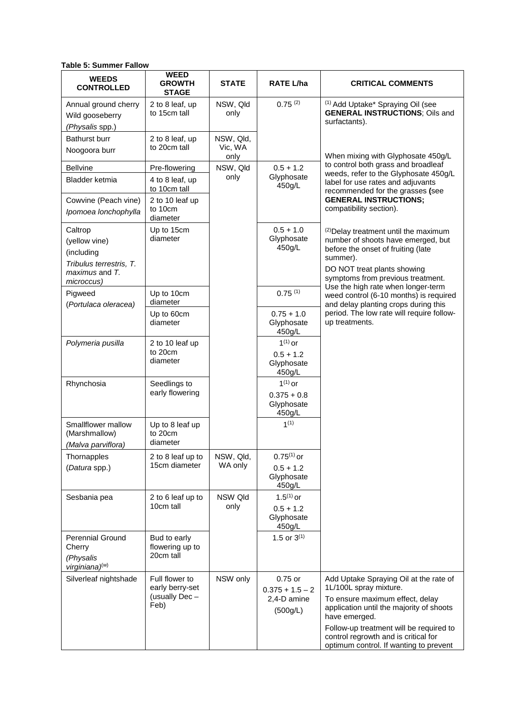**Table 5: Summer Fallow**

| <b>WEEDS</b><br><b>CONTROLLED</b>                                                                 | <b>WEED</b><br><b>GROWTH</b><br><b>STAGE</b>               | <b>STATE</b>                 | <b>RATE L/ha</b>                                        | <b>CRITICAL COMMENTS</b>                                                                                                                                                                                                                                                                      |
|---------------------------------------------------------------------------------------------------|------------------------------------------------------------|------------------------------|---------------------------------------------------------|-----------------------------------------------------------------------------------------------------------------------------------------------------------------------------------------------------------------------------------------------------------------------------------------------|
| Annual ground cherry<br>Wild gooseberry<br>(Physalis spp.)                                        | 2 to 8 leaf, up<br>to 15cm tall                            | NSW, Qld<br>only             | $0.75^{(2)}$                                            | <sup>(1)</sup> Add Uptake* Spraying Oil (see<br><b>GENERAL INSTRUCTIONS; Oils and</b><br>surfactants).                                                                                                                                                                                        |
| Bathurst burr<br>Noogoora burr                                                                    | 2 to 8 leaf, up<br>to 20cm tall                            | NSW, Qld,<br>Vic, WA<br>only |                                                         | When mixing with Glyphosate 450g/L                                                                                                                                                                                                                                                            |
| <b>Bellvine</b>                                                                                   | Pre-flowering                                              | NSW, Qld                     | $0.5 + 1.2$                                             | to control both grass and broadleaf                                                                                                                                                                                                                                                           |
| Bladder ketmia                                                                                    | 4 to 8 leaf, up<br>to 10cm tall                            | only                         | Glyphosate<br>450g/L                                    | weeds, refer to the Glyphosate 450g/L<br>label for use rates and adjuvants<br>recommended for the grasses (see                                                                                                                                                                                |
| Cowvine (Peach vine)<br>Ipomoea lonchophylla                                                      | 2 to 10 leaf up<br>to 10cm<br>diameter                     |                              |                                                         | <b>GENERAL INSTRUCTIONS;</b><br>compatibility section).                                                                                                                                                                                                                                       |
| Caltrop<br>(yellow vine)<br>(including<br>Tribulus terrestris, T.<br>maximus and T.<br>microccus) | Up to 15cm<br>diameter                                     |                              | $0.5 + 1.0$<br>Glyphosate<br>450g/L                     | (2) Delay treatment until the maximum<br>number of shoots have emerged, but<br>before the onset of fruiting (late<br>summer).<br>DO NOT treat plants showing<br>symptoms from previous treatment.                                                                                             |
| Pigweed<br>(Portulaca oleracea)                                                                   | Up to 10cm<br>diameter                                     |                              | 0.75(1)                                                 | Use the high rate when longer-term<br>weed control (6-10 months) is required<br>and delay planting crops during this                                                                                                                                                                          |
|                                                                                                   | Up to 60cm<br>diameter                                     |                              | $0.75 + 1.0$<br>Glyphosate<br>450q/L                    | period. The low rate will require follow-<br>up treatments.                                                                                                                                                                                                                                   |
| Polymeria pusilla                                                                                 | 2 to 10 leaf up<br>to 20cm<br>diameter                     |                              | $1^{(1)}$ or<br>$0.5 + 1.2$<br>Glyphosate<br>450q/L     |                                                                                                                                                                                                                                                                                               |
| Rhynchosia                                                                                        | Seedlings to<br>early flowering                            |                              | $1^{(1)}$ or<br>$0.375 + 0.8$<br>Glyphosate<br>450g/L   |                                                                                                                                                                                                                                                                                               |
| Smallflower mallow<br>(Marshmallow)<br>(Malva parviflora)                                         | Up to 8 leaf up<br>to 20cm<br>diameter                     |                              | 1 <sup>(1)</sup>                                        |                                                                                                                                                                                                                                                                                               |
| Thornapples<br>(Datura spp.)                                                                      | 2 to 8 leaf up to<br>15cm diameter                         | NSW, Qld,<br>WA only         | $0.75^{(1)}$ or<br>$0.5 + 1.2$<br>Glyphosate<br>450g/L  |                                                                                                                                                                                                                                                                                               |
| Sesbania pea                                                                                      | 2 to 6 leaf up to<br>10cm tall                             | NSW Qld<br>only              | $1.5^{(1)}$ or<br>$0.5 + 1.2$<br>Glyphosate<br>450g/L   |                                                                                                                                                                                                                                                                                               |
| Perennial Ground<br>Cherry<br>(Physalis<br>virginiana)(w)                                         | Bud to early<br>flowering up to<br>20cm tall               |                              | 1.5 or $3^{(1)}$                                        |                                                                                                                                                                                                                                                                                               |
| Silverleaf nightshade                                                                             | Full flower to<br>early berry-set<br>(usually Dec-<br>Feb) | NSW only                     | 0.75 or<br>$0.375 + 1.5 - 2$<br>2,4-D amine<br>(500g/L) | Add Uptake Spraying Oil at the rate of<br>1L/100L spray mixture.<br>To ensure maximum effect, delay<br>application until the majority of shoots<br>have emerged.<br>Follow-up treatment will be required to<br>control regrowth and is critical for<br>optimum control. If wanting to prevent |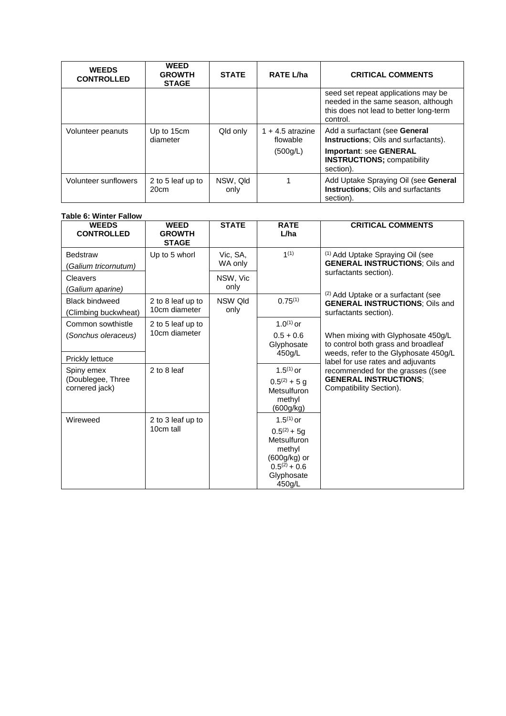| <b>WEEDS</b><br><b>CONTROLLED</b> | <b>WEED</b><br><b>GROWTH</b><br><b>STAGE</b> | <b>STATE</b>     | <b>RATE L/ha</b>               | <b>CRITICAL COMMENTS</b>                                                                                                         |
|-----------------------------------|----------------------------------------------|------------------|--------------------------------|----------------------------------------------------------------------------------------------------------------------------------|
|                                   |                                              |                  |                                | seed set repeat applications may be<br>needed in the same season, although<br>this does not lead to better long-term<br>control. |
| Volunteer peanuts                 | Up to 15cm<br>diameter                       | Qld only         | $1 + 4.5$ atrazine<br>flowable | Add a surfactant (see General<br>Instructions; Oils and surfactants).                                                            |
|                                   |                                              |                  | (500g/L)                       | <b>Important: see GENERAL</b><br><b>INSTRUCTIONS; compatibility</b><br>section).                                                 |
| Volunteer sunflowers              | 2 to 5 leaf up to<br>20cm                    | NSW, Qld<br>only |                                | Add Uptake Spraying Oil (see General<br>Instructions; Oils and surfactants<br>section).                                          |

#### **Table 6: Winter Fallow**

| <b>WEEDS</b><br><b>CONTROLLED</b>                 | <b>WEED</b><br><b>GROWTH</b><br><b>STAGE</b> | <b>STATE</b>        | <b>RATE</b><br>L/ha                                                                                                             | <b>CRITICAL COMMENTS</b>                                                                              |                                                                           |                                                                                              |
|---------------------------------------------------|----------------------------------------------|---------------------|---------------------------------------------------------------------------------------------------------------------------------|-------------------------------------------------------------------------------------------------------|---------------------------------------------------------------------------|----------------------------------------------------------------------------------------------|
| <b>Bedstraw</b><br>(Galium tricornutum)           | Up to 5 whorl                                | Vic. SA.<br>WA only | 1(1)                                                                                                                            | <sup>(1)</sup> Add Uptake Spraying Oil (see<br><b>GENERAL INSTRUCTIONS; Oils and</b>                  |                                                                           |                                                                                              |
| Cleavers<br>(Galium aparine)                      |                                              | NSW, Vic<br>only    |                                                                                                                                 | surfactants section).                                                                                 |                                                                           |                                                                                              |
| <b>Black bindweed</b><br>(Climbing buckwheat)     | 2 to 8 leaf up to<br>10cm diameter           | NSW Old<br>only     | $0.75^{(1)}$                                                                                                                    | (2) Add Uptake or a surfactant (see<br><b>GENERAL INSTRUCTIONS; Oils and</b><br>surfactants section). |                                                                           |                                                                                              |
| Common sowthistle<br>(Sonchus oleraceus)          | 2 to 5 leaf up to<br>10cm diameter           |                     | 1.0 <sup>(1)</sup> or<br>$0.5 + 0.6$<br>Glyphosate                                                                              | When mixing with Glyphosate 450g/L<br>to control both grass and broadleaf                             |                                                                           |                                                                                              |
| Prickly lettuce                                   |                                              |                     | 450g/L                                                                                                                          | weeds, refer to the Glyphosate 450g/L<br>label for use rates and adjuvants                            |                                                                           |                                                                                              |
| Spiny emex<br>(Doublegee, Three<br>cornered jack) | 2 to 8 leaf                                  |                     |                                                                                                                                 |                                                                                                       | $1.5^{(1)}$ or<br>$0.5^{(2)} + 5$ g<br>Metsulfuron<br>methyl<br>(600g/kg) | recommended for the grasses ((see<br><b>GENERAL INSTRUCTIONS;</b><br>Compatibility Section). |
| Wireweed                                          | 2 to 3 leaf up to<br>10cm tall               |                     | 1.5 <sup>(1)</sup> or<br>$0.5^{(2)} + 5g$<br>Metsulfuron<br>methyl<br>(600g/kg) or<br>$0.5^{(2)} + 0.6$<br>Glyphosate<br>450g/L |                                                                                                       |                                                                           |                                                                                              |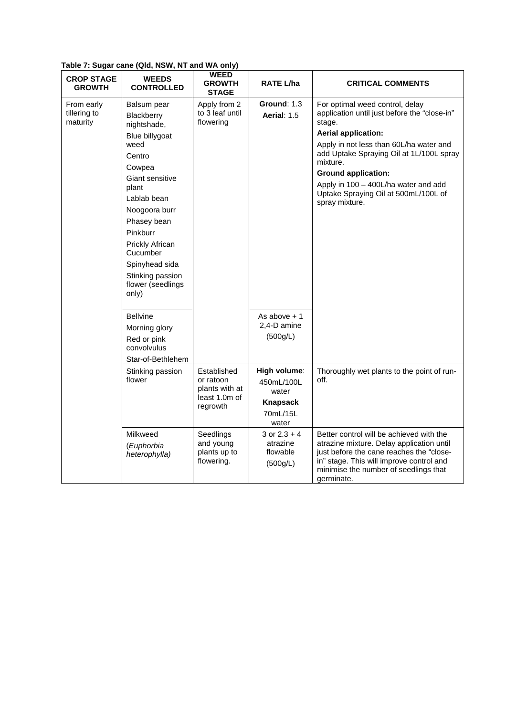| <b>CROP STAGE</b><br><b>GROWTH</b>     | $1$ abic $1$ . Ouyar canc (wid, NON, NT and NA Only)<br><b>WEEDS</b><br><b>CONTROLLED</b> | <b>WEED</b><br><b>GROWTH</b><br><b>STAGE</b>         | RATE L/ha                                          | <b>CRITICAL COMMENTS</b>                                                                                                                                                                                                             |
|----------------------------------------|-------------------------------------------------------------------------------------------|------------------------------------------------------|----------------------------------------------------|--------------------------------------------------------------------------------------------------------------------------------------------------------------------------------------------------------------------------------------|
| From early<br>tillering to<br>maturity | Balsum pear<br>Blackberry<br>nightshade,<br>Blue billygoat                                | Apply from 2<br>to 3 leaf until<br>flowering         | <b>Ground: 1.3</b><br><b>Aerial: 1.5</b>           | For optimal weed control, delay<br>application until just before the "close-in"<br>stage.<br><b>Aerial application:</b>                                                                                                              |
|                                        | weed<br>Centro<br>Cowpea                                                                  |                                                      |                                                    | Apply in not less than 60L/ha water and<br>add Uptake Spraying Oil at 1L/100L spray<br>mixture.                                                                                                                                      |
|                                        | Giant sensitive                                                                           |                                                      |                                                    | <b>Ground application:</b>                                                                                                                                                                                                           |
|                                        | plant                                                                                     |                                                      |                                                    | Apply in 100 - 400L/ha water and add<br>Uptake Spraying Oil at 500mL/100L of                                                                                                                                                         |
|                                        | Lablab bean                                                                               |                                                      |                                                    | spray mixture.                                                                                                                                                                                                                       |
|                                        | Noogoora burr<br>Phasey bean                                                              |                                                      |                                                    |                                                                                                                                                                                                                                      |
|                                        | Pinkburr                                                                                  |                                                      |                                                    |                                                                                                                                                                                                                                      |
|                                        | Prickly African<br>Cucumber                                                               |                                                      |                                                    |                                                                                                                                                                                                                                      |
|                                        | Spinyhead sida                                                                            |                                                      |                                                    |                                                                                                                                                                                                                                      |
|                                        | Stinking passion<br>flower (seedlings<br>only)                                            |                                                      |                                                    |                                                                                                                                                                                                                                      |
|                                        | <b>Bellvine</b>                                                                           |                                                      | As above $+1$                                      |                                                                                                                                                                                                                                      |
|                                        | Morning glory                                                                             |                                                      | 2,4-D amine                                        |                                                                                                                                                                                                                                      |
|                                        | Red or pink<br>convolvulus<br>Star-of-Bethlehem                                           |                                                      | (500g/L)                                           |                                                                                                                                                                                                                                      |
|                                        | Stinking passion                                                                          | Established                                          | High volume:                                       | Thoroughly wet plants to the point of run-                                                                                                                                                                                           |
|                                        | flower                                                                                    | or ratoon<br>plants with at<br>least 1.0m of         | 450mL/100L<br>water                                | off.                                                                                                                                                                                                                                 |
|                                        |                                                                                           | regrowth                                             | <b>Knapsack</b>                                    |                                                                                                                                                                                                                                      |
|                                        |                                                                                           |                                                      | 70mL/15L<br>water                                  |                                                                                                                                                                                                                                      |
|                                        | Milkweed<br>(Euphorbia<br>heterophylla)                                                   | Seedlings<br>and young<br>plants up to<br>flowering. | 3 or $2.3 + 4$<br>atrazine<br>flowable<br>(500g/L) | Better control will be achieved with the<br>atrazine mixture. Delay application until<br>just before the cane reaches the "close-<br>in" stage. This will improve control and<br>minimise the number of seedlings that<br>germinate. |

**Table 7: Sugar cane (Qld, NSW, NT and WA only)**